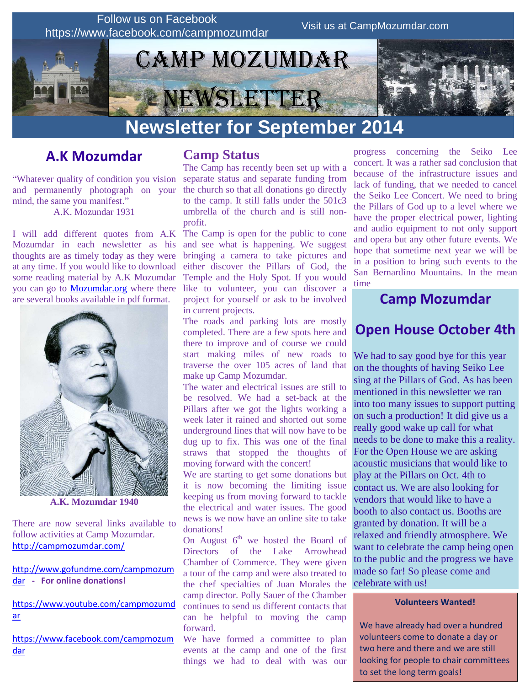

# **A.K Mozumdar**

"Whatever quality of condition you vision and permanently photograph on your mind, the same you manifest." A.K. Mozundar 1931

I will add different quotes from A.K Mozumdar in each newsletter as his thoughts are as timely today as they were at any time. If you would like to download some reading material by A.K Mozumdar you can go to<Mozumdar.org> where there are several books available in pdf format.



**A.K. Mozumdar 1940**

There are now several links available to follow activities at Camp Mozumdar. <http://campmozumdar.com/>

[http://www.gofundme.com/campmozum](http://www.gofundme.com/campmozumdar) [dar](http://www.gofundme.com/campmozumdar) **- For online donations!**

[https://www.youtube.com/campmozumd](https://www.youtube.com/campmozumdar) [ar](https://www.youtube.com/campmozumdar)

[https://www.facebook.com/campmozum](https://www.facebook.com/campmozumdar) [dar](https://www.facebook.com/campmozumdar)

### **Camp Status**

The Camp has recently been set up with a separate status and separate funding from the church so that all donations go directly to the camp. It still falls under the 501c3 umbrella of the church and is still nonprofit.

The Camp is open for the public to cone and see what is happening. We suggest bringing a camera to take pictures and either discover the Pillars of God, the Temple and the Holy Spot. If you would like to volunteer, you can discover a project for yourself or ask to be involved in current projects.

The roads and parking lots are mostly completed. There are a few spots here and there to improve and of course we could start making miles of new roads to traverse the over 105 acres of land that make up Camp Mozumdar.

The water and electrical issues are still to be resolved. We had a set-back at the Pillars after we got the lights working a week later it rained and shorted out some underground lines that will now have to be dug up to fix. This was one of the final straws that stopped the thoughts of moving forward with the concert!

We are starting to get some donations but it is now becoming the limiting issue keeping us from moving forward to tackle the electrical and water issues. The good news is we now have an online site to take donations!

On August  $6<sup>th</sup>$  we hosted the Board of Directors of the Lake Arrowhead Chamber of Commerce. They were given a tour of the camp and were also treated to the chef specialties of Juan Morales the camp director. Polly Sauer of the Chamber continues to send us different contacts that can be helpful to moving the camp forward.

We have formed a committee to plan events at the camp and one of the first things we had to deal with was our

progress concerning the Seiko Lee concert. It was a rather sad conclusion that because of the infrastructure issues and lack of funding, that we needed to cancel the Seiko Lee Concert. We need to bring the Pillars of God up to a level where we have the proper electrical power, lighting and audio equipment to not only support and opera but any other future events. We hope that sometime next year we will be in a position to bring such events to the San Bernardino Mountains. In the mean time

### **Camp Mozumdar**

## **Open House October 4th**

We had to say good bye for this year on the thoughts of having Seiko Lee sing at the Pillars of God. As has been mentioned in this newsletter we ran into too many issues to support putting on such a production! It did give us a really good wake up call for what needs to be done to make this a reality. For the Open House we are asking acoustic musicians that would like to play at the Pillars on Oct. 4th to contact us. We are also looking for vendors that would like to have a booth to also contact us. Booths are granted by donation. It will be a relaxed and friendly atmosphere. We want to celebrate the camp being open to the public and the progress we have made so far! So please come and celebrate with us!

#### **Volunteers Wanted!**

We have already had over a hundred volunteers come to donate a day or two here and there and we are still looking for people to chair committees to set the long term goals!